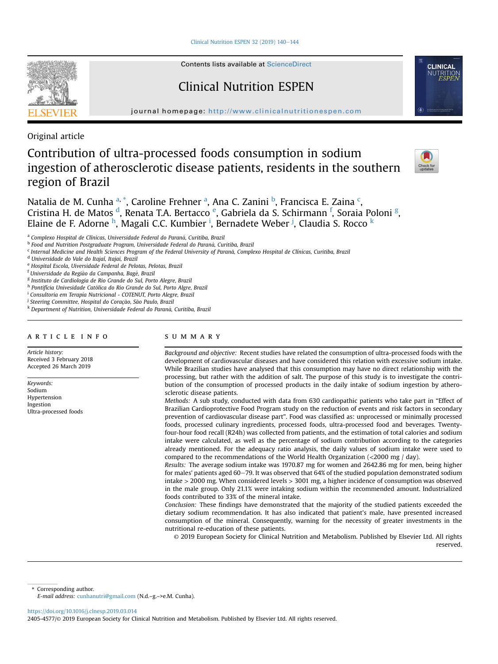Clinical Nutrition ESPEN 32 (2019)  $140-144$  $140-144$ 



Contents lists available at ScienceDirect

# Clinical Nutrition ESPEN

journal homepage: <http://www.clinicalnutritionespen.com>

Original article

# Contribution of ultra-processed foods consumption in sodium ingestion of atherosclerotic disease patients, residents in the southern region of Brazil



Natalia de M. Cunha <sup>a, \*</sup>, Caroline Frehner <sup>a</sup>, Ana C. Zanini <sup>b</sup>, Francisca E. Zaina <sup>c</sup>, Cristina H. de Matos <sup>d</sup>, Renata T.A. Bertacco <sup>e</sup>, Gabriela da S. Schirmann <sup>f</sup>, Soraia Poloni <sup>g</sup>, Elaine de F. Adorne <sup>h</sup>, Magali C.C. Kumbier <sup>i</sup>, Bernadete Weber <sup>j</sup>, Claudia S. Rocco <sup>k</sup>

<sup>c</sup> Internal Medicine and Health Sciences Program of the Federal University of Parana, Complexo Hospital de Clínicas, Curitiba, Brazil

<sup>d</sup> Universidade do Vale do Itajaí, Itajai, Brazil

<sup>e</sup> Hospital Escola, Uiversidade Federal de Pelotas, Pelotas, Brazil

<sup>f</sup> Universidade da Região da Campanha, Bagé, Brazil

<sup>g</sup> Instituto de Cardiologia de Rio Grande do Sul, Porto Alegre, Brazil

<sup>h</sup> Pontifícia Univesidade Catolica do Rio Grande do Sul, Porto Algre, Brazil

<sup>i</sup> Consultoria em Terapia Nutricional - COTENUT, Porto Alegre, Brazil

<sup>j</sup> Steering Committee, Hospital do Coração, São Paulo, Brazil

k Department of Nutrition, Universidade Federal do Paraná, Curitiba, Brazil

## article info

Article history: Received 3 February 2018 Accepted 26 March 2019

Keywords: Sodium Hypertension Ingestion Ultra-processed foods

# summary

Background and objective: Recent studies have related the consumption of ultra-processed foods with the development of cardiovascular diseases and have considered this relation with excessive sodium intake. While Brazilian studies have analysed that this consumption may have no direct relationship with the processing, but rather with the addition of salt. The purpose of this study is to investigate the contribution of the consumption of processed products in the daily intake of sodium ingestion by atherosclerotic disease patients.

Methods: A sub study, conducted with data from 630 cardiopathic patients who take part in "Effect of Brazilian Cardioprotective Food Program study on the reduction of events and risk factors in secondary prevention of cardiovascular disease part". Food was classified as: unprocessed or minimally processed foods, processed culinary ingredients, processed foods, ultra-processed food and beverages. Twentyfour-hour food recall (R24h) was collected from patients, and the estimation of total calories and sodium intake were calculated, as well as the percentage of sodium contribution according to the categories already mentioned. For the adequacy ratio analysis, the daily values of sodium intake were used to compared to the recommendations of the World Health Organization (<2000 mg / day).

Results: The average sodium intake was 1970.87 mg for women and 2642.86 mg for men, being higher for males' patients aged 60–79. It was observed that 64% of the studied population demonstrated sodium intake > 2000 mg. When considered levels > 3001 mg, a higher incidence of consumption was observed in the male group. Only 21.1% were intaking sodium within the recommended amount. Industrialized foods contributed to 33% of the mineral intake.

Conclusion: These findings have demonstrated that the majority of the studied patients exceeded the dietary sodium recommendation. It has also indicated that patient's male, have presented increased consumption of the mineral. Consequently, warning for the necessity of greater investments in the nutritional re-education of these patients.

© 2019 European Society for Clinical Nutrition and Metabolism. Published by Elsevier Ltd. All rights reserved.

Corresponding author.

E-mail address: [cunhanutri@gmail.com](mailto:cunhanutri@gmail.com) (N.d.–g.–>e.M. Cunha).

<https://doi.org/10.1016/j.clnesp.2019.03.014>

2405-4577/© 2019 European Society for Clinical Nutrition and Metabolism. Published by Elsevier Ltd. All rights reserved.

<sup>&</sup>lt;sup>a</sup> Complexo Hospital de Clínicas, Universidade Federal do Paraná, Curitiba, Brazil

<sup>b</sup> Food and Nutrition Postgraduate Program, Universidade Federal do Parana, Curitiba, Brazil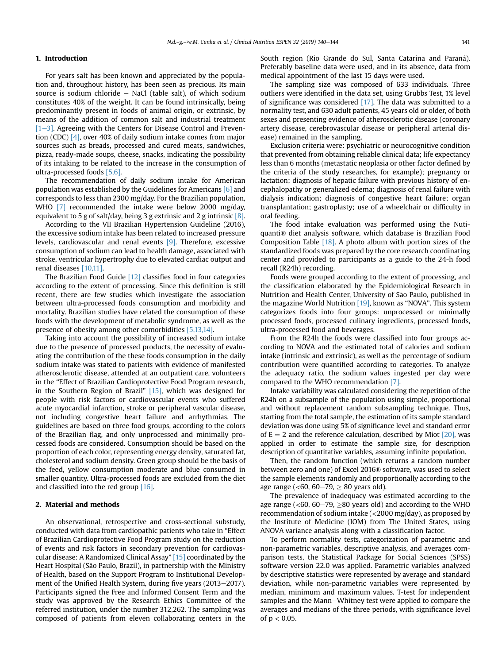## 1. Introduction

For years salt has been known and appreciated by the population and, throughout history, has been seen as precious. Its main source is sodium chloride  $-$  NaCl (table salt), of which sodium constitutes 40% of the weight. It can be found intrinsically, being predominantly present in foods of animal origin, or extrinsic, by means of the addition of common salt and industrial treatment  $[1-3]$  $[1-3]$ . Agreeing with the Centers for Disease Control and Prevention (CDC) [\[4\]](#page-3-0), over 40% of daily sodium intake comes from major sources such as breads, processed and cured meats, sandwiches, pizza, ready-made soups, cheese, snacks, indicating the possibility of its intaking to be related to the increase in the consumption of ultra-processed foods [\[5,6\]](#page-3-0).

The recommendation of daily sodium intake for American population was established by the Guidelines for Americans [\[6\]](#page-3-0) and corresponds to less than 2300 mg/day. For the Brazilian population, WHO [\[7\]](#page-3-0) recommended the intake were below 2000 mg/day, equivalent to 5 g of salt/day, being 3 g extrinsic and 2 g intrinsic [\[8\].](#page-3-0)

According to the VII Brazilian Hypertension Guideline (2016), the excessive sodium intake has been related to increased pressure levels, cardiovascular and renal events [\[9\].](#page-3-0) Therefore, excessive consumption of sodium can lead to health damage, associated with stroke, ventricular hypertrophy due to elevated cardiac output and renal diseases [\[10,11\].](#page-3-0)

The Brazilian Food Guide [\[12\]](#page-3-0) classifies food in four categories according to the extent of processing. Since this definition is still recent, there are few studies which investigate the association between ultra-processed foods consumption and morbidity and mortality. Brazilian studies have related the consumption of these foods with the development of metabolic syndrome, as well as the presence of obesity among other comorbidities [\[5,13,14\].](#page-3-0)

Taking into account the possibility of increased sodium intake due to the presence of processed products, the necessity of evaluating the contribution of the these foods consumption in the daily sodium intake was stated to patients with evidence of manifested atherosclerotic disease, attended at an outpatient care, volunteers in the "Effect of Brazilian Cardioprotective Food Program research, in the Southern Region of Brazil" [\[15\]](#page-3-0), which was designed for people with risk factors or cardiovascular events who suffered acute myocardial infarction, stroke or peripheral vascular disease, not including congestive heart failure and arrhythmias. The guidelines are based on three food groups, according to the colors of the Brazilian flag, and only unprocessed and minimally processed foods are considered. Consumption should be based on the proportion of each color, representing energy density, saturated fat, cholesterol and sodium density. Green group should be the basis of the feed, yellow consumption moderate and blue consumed in smaller quantity. Ultra-processed foods are excluded from the diet and classified into the red group [\[16\].](#page-3-0)

## 2. Material and methods

An observational, retrospective and cross-sectional substudy, conducted with data from cardiopathic patients who take in "Effect of Brazilian Cardioprotective Food Program study on the reduction of events and risk factors in secondary prevention for cardiovascular disease: A Randomized Clinical Assay" [\[15\]](#page-3-0) coordinated by the Heart Hospital (São Paulo, Brazil), in partnership with the Ministry of Health, based on the Support Program to Institutional Development of the Unified Health System, during five years (2013–2017). Participants signed the Free and Informed Consent Term and the study was approved by the Research Ethics Committee of the referred institution, under the number 312,262. The sampling was composed of patients from eleven collaborating centers in the South region (Rio Grande do Sul, Santa Catarina and Paraná). Preferably baseline data were used, and in its absence, data from medical appointment of the last 15 days were used.

The sampling size was composed of 633 individuals. Three outliers were identified in the data set, using Grubbs Test, 1% level of significance was considered [\[17\]](#page-3-0). The data was submitted to a normality test, and 630 adult patients, 45 years old or older, of both sexes and presenting evidence of atherosclerotic disease (coronary artery disease, cerebrovascular disease or peripheral arterial disease) remained in the sampling.

Exclusion criteria were: psychiatric or neurocognitive condition that prevented from obtaining reliable clinical data; life expectancy less than 6 months (metastatic neoplasia or other factor defined by the criteria of the study researches, for example); pregnancy or lactation; diagnosis of hepatic failure with previous history of encephalopathy or generalized edema; diagnosis of renal failure with dialysis indication; diagnosis of congestive heart failure; organ transplantation; gastroplasty; use of a wheelchair or difficulty in oral feeding.

The food intake evaluation was performed using the Nutiquanti® diet analysis software, which database is Brazilian Food Composition Table  $[18]$ . A photo album with portion sizes of the standardized foods was prepared by the core research coordinating center and provided to participants as a guide to the 24-h food recall (R24h) recording.

Foods were grouped according to the extent of processing, and the classification elaborated by the Epidemiological Research in Nutrition and Health Center, University of São Paulo, published in the magazine World Nutrition [\[19\]](#page-3-0), known as "NOVA". This system categorizes foods into four groups: unprocessed or minimally processed foods, processed culinary ingredients, processed foods, ultra-processed food and beverages.

From the R24h the foods were classified into four groups according to NOVA and the estimated total of calories and sodium intake (intrinsic and extrinsic), as well as the percentage of sodium contribution were quantified according to categories. To analyze the adequacy ratio, the sodium values ingested per day were compared to the WHO recommendation [\[7\].](#page-3-0)

Intake variability was calculated considering the repetition of the R24h on a subsample of the population using simple, proportional and without replacement random subsampling technique. Thus, starting from the total sample, the estimation of its sample standard deviation was done using 5% of significance level and standard error of  $E = 2$  and the reference calculation, described by Miot [\[20\]](#page-3-0), was applied in order to estimate the sample size, for description description of quantitative variables, assuming infinite population.

Then, the random function (which returns a random number between zero and one) of Excel 2016® software, was used to select the sample elements randomly and proportionally according to the age range (<60, 60–79,  $\geq 80$  years old).

The prevalence of inadequacy was estimated according to the age range ( $\lt$  60, 60–79,  $\geq$  80 years old) and according to the WHO recommendation of sodium intake (<2000 mg/day), as proposed by the Institute of Medicine (IOM) from The United States, using ANOVA variance analysis along with a classification factor.

To perform normality tests, categorization of parametric and non-parametric variables, descriptive analysis, and averages comparison tests, the Statistical Package for Social Sciences (SPSS) software version 22.0 was applied. Parametric variables analyzed by descriptive statistics were represented by average and standard deviation, while non-parametric variables were represented by median, minimum and maximum values. T-test for independent samples and the Mann-Whitney test were applied to compare the averages and medians of the three periods, with significance level of  $p < 0.05$ .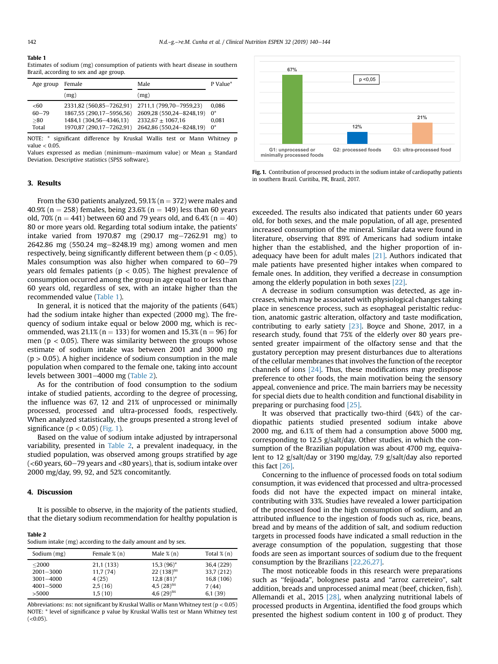#### Table 1

3. Results

Estimates of sodium (mg) consumption of patients with heart disease in southern Brazil, according to sex and age group.

| Age group                          | Female                                                                                                      | Male                                                                                                   | P Value*                         |
|------------------------------------|-------------------------------------------------------------------------------------------------------------|--------------------------------------------------------------------------------------------------------|----------------------------------|
|                                    | (mg)                                                                                                        | (mg)                                                                                                   |                                  |
| < 60<br>$60 - 79$<br>> 80<br>Total | 2331,82 (560,85-7262,91)<br>1867,55 (290,17-5956,56)<br>1484,1 (304,56-4346,13)<br>1970,87 (290,17-7262,91) | 2711,1 (799,70-7959,23)<br>2609,28 (550,24-8248,19)<br>$2332.67 + 1067.16$<br>2642,86 (550,24-8248,19) | 0.086<br>$0^*$<br>0.081<br>$0^*$ |

NOTE: \* significant difference by Kruskal Wallis test or Mann Whitney p value < 0.05.

Values expressed as median (minimum-maximum value) or Mean  $\pm$  Standard Deviation. Descriptive statistics (SPSS software).



Fig. 1. Contribution of processed products in the sodium intake of cardiopathy patients in southern Brazil. Curitiba, PR, Brazil, 2017.

From the 630 patients analyzed, 59.1% ( $n = 372$ ) were males and 40.9% (n = 258) females, being 23.6% (n = 149) less than 60 years old, 70% (n = 441) between 60 and 79 years old, and 6.4% (n = 40) 80 or more years old. Regarding total sodium intake, the patients' intake varied from  $1970.87$  mg  $(290.17 \text{ mg} - 7262.91 \text{ mg})$  to  $2642.86$  mg (550.24 mg-8248.19 mg) among women and men respectively, being significantly different between them ( $p < 0.05$ ). Males consumption was also higher when compared to  $60-79$ years old females patients ( $p < 0.05$ ). The highest prevalence of consumption occurred among the group in age equal to or less than 60 years old, regardless of sex, with an intake higher than the recommended value (Table 1).

In general, it is noticed that the majority of the patients (64%) had the sodium intake higher than expected (2000 mg). The frequency of sodium intake equal or below 2000 mg, which is recommended, was  $21.1\%$  (n = 133) for women and 15.3% (n = 96) for men ( $p < 0.05$ ). There was similarity between the groups whose estimate of sodium intake was between 2001 and 3000 mg  $(p > 0.05)$ . A higher incidence of sodium consumption in the male population when compared to the female one, taking into account levels between 3001-4000 mg (Table 2).

As for the contribution of food consumption to the sodium intake of studied patients, according to the degree of processing, the influence was 67, 12 and 21% of unprocessed or minimally processed, processed and ultra-processed foods, respectively. When analyzed statistically, the groups presented a strong level of significance ( $p < 0.05$ ) (Fig. 1).

Based on the value of sodium intake adjusted by intrapersonal variability, presented in Table 2, a prevalent inadequacy, in the studied population, was observed among groups stratified by age  $\approx$  (<60 years, 60–79 years and <80 years), that is, sodium intake over 2000 mg/day, 99, 92, and 52% concomitantly.

# 4. Discussion

It is possible to observe, in the majority of the patients studied, that the dietary sodium recommendation for healthy population is

Table 2 Sodium intake (mg) according to the daily amount and by sex.

| Sodium (mg)   | Female $\%$ (n) | Male $\%$ (n)   | Total $\%$ (n) |
|---------------|-----------------|-----------------|----------------|
| $<$ 2000      | 21,1 (133)      | $15,3(96)^*$    | 36,4 (229)     |
| $2001 - 3000$ | 11,7(74)        | $22(138)^{ns}$  | 33,7 (212)     |
| $3001 - 4000$ | 4(25)           | $12,8(81)$ *    | 16,8 (106)     |
| $4001 - 5000$ | 2,5(16)         | 4,5 $(28)^{ns}$ | 7(44)          |
| >5000         | 1,5(10)         | $4.6(29)^{ns}$  | 6,1(39)        |

Abbreviations: ns: not significant by Kruskal Wallis or Mann Whitney test ( $p < 0.05$ ) NOTE: \* level of significance p value by Kruskal Wallis test or Mann Whitney test  $(<0.05)$ .

exceeded. The results also indicated that patients under 60 years old, for both sexes, and the male population, of all age, presented increased consumption of the mineral. Similar data were found in literature, observing that 89% of Americans had sodium intake higher than the established, and the higher proportion of inadequacy have been for adult males [\[21\].](#page-3-0) Authors indicated that male patients have presented higher intakes when compared to female ones. In addition, they verified a decrease in consumption among the elderly population in both sexes [\[22\].](#page-3-0)

A decrease in sodium consumption was detected, as age increases, which may be associated with physiological changes taking place in senescence process, such as esophageal peristaltic reduction, anatomic gastric alteration, olfactory and taste modification, contributing to early satiety [\[23\].](#page-3-0) Boyce and Shone, 2017, in a research study, found that 75% of the elderly over 80 years presented greater impairment of the olfactory sense and that the gustatory perception may present disturbances due to alterations of the cellular membranes that involves the function of the receptor channels of ions [\[24\]](#page-4-0). Thus, these modifications may predispose preference to other foods, the main motivation being the sensory appeal, convenience and price. The main barriers may be necessity for special diets due to health condition and functional disability in preparing or purchasing food [\[25\].](#page-4-0)

It was observed that practically two-third (64%) of the cardiopathic patients studied presented sodium intake above 2000 mg, and 6.1% of them had a consumption above 5000 mg, corresponding to 12.5 g/salt/day. Other studies, in which the consumption of the Brazilian population was about 4700 mg, equivalent to 12 g/salt/day or 3190 mg/day, 7.9 g/salt/day also reported this fact [\[26\].](#page-4-0)

Concerning to the influence of processed foods on total sodium consumption, it was evidenced that processed and ultra-processed foods did not have the expected impact on mineral intake, contributing with 33%. Studies have revealed a lower participation of the processed food in the high consumption of sodium, and an attributed influence to the ingestion of foods such as, rice, beans, bread and by means of the addition of salt, and sodium reduction targets in processed foods have indicated a small reduction in the average consumption of the population, suggesting that those foods are seen as important sources of sodium due to the frequent consumption by the Brazilians [\[22,26,27\]](#page-3-0).

The most noticeable foods in this research were preparations such as ''feijoada", bolognese pasta and "arroz carreteiro", salt addition, breads and unprocessed animal meat (beef, chicken, fish). Allemandi et al., 2015 [\[28\]](#page-4-0), when analyzing nutritional labels of processed products in Argentina, identified the food groups which presented the highest sodium content in 100 g of product. They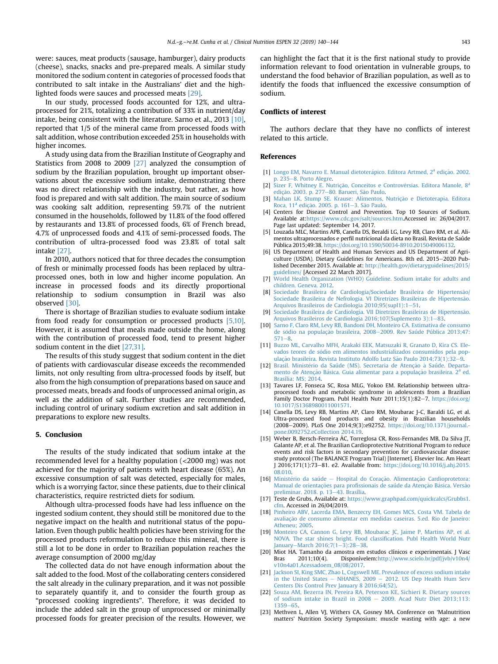<span id="page-3-0"></span>were: sauces, meat products (sausage, hamburger), dairy products (cheese), snacks, snacks and pre-prepared meals. A similar study monitored the sodium content in categories of processed foods that contributed to salt intake in the Australians' diet and the highlighted foods were sauces and processed meats [\[29\]](#page-4-0).

In our study, processed foods accounted for 12%, and ultraprocessed for 21%, totalizing a contribution of 33% in nutrient/day intake, being consistent with the literature. Sarno et al., 2013 [10], reported that 1/5 of the mineral came from processed foods with salt addition, whose contribution exceeded 25% in households with higher incomes.

A study using data from the Brazilian Institute of Geography and Statistics from 2008 to 2009 [\[27\]](#page-4-0) analyzed the consumption of sodium by the Brazilian population, brought up important observations about the excessive sodium intake, demonstrating there was no direct relationship with the industry, but rather, as how food is prepared and with salt addition. The main source of sodium was cooking salt addition, representing 59.7% of the nutrient consumed in the households, followed by 11.8% of the food offered by restaurants and 13.8% of processed foods, 6% of French bread, 4.7% of unprocessed foods and 4.1% of semi-processed foods. The contribution of ultra-processed food was 23.8% of total salt intake [\[27\].](#page-4-0)

In 2010, authors noticed that for three decades the consumption of fresh or minimally processed foods has been replaced by ultraprocessed ones, both in low and higher income population. An increase in processed foods and its directly proportional relationship to sodium consumption in Brazil was also observed [\[30\]](#page-4-0).

There is shortage of Brazilian studies to evaluate sodium intake from food ready for consumption or processed products [5,10]. However, it is assumed that meals made outside the home, along with the contribution of processed food, tend to present higher sodium content in the diet [\[27,31\].](#page-4-0)

The results of this study suggest that sodium content in the diet of patients with cardiovascular disease exceeds the recommended limits, not only resulting from ultra-processed foods by itself, but also from the high consumption of preparations based on sauce and processed meats, breads and foods of unprocessed animal origin, as well as the addition of salt. Further studies are recommended, including control of urinary sodium excretion and salt addition in preparations to explore new results.

### 5. Conclusion

The results of the study indicated that sodium intake at the recommended level for a healthy population (<2000 mg) was not achieved for the majority of patients with heart disease (65%). An excessive consumption of salt was detected, especially for males, which is a worrying factor, since these patients, due to their clinical characteristics, require restricted diets for sodium.

Although ultra-processed foods have had less influence on the ingested sodium content, they should still be monitored due to the negative impact on the health and nutritional status of the population. Even though public health policies have been striving for the processed products reformulation to reduce this mineral, there is still a lot to be done in order to Brazilian population reaches the average consumption of 2000 mg/day

The collected data do not have enough information about the salt added to the food. Most of the collaborating centers considered the salt already in the culinary preparation, and it was not possible to separately quantify it, and to consider the fourth group as "processed cooking ingredients". Therefore, it was decided to include the added salt in the group of unprocessed or minimally processed foods for greater precision of the results. However, we can highlight the fact that it is the first national study to provide information relevant to food orientation in vulnerable groups, to understand the food behavior of Brazilian population, as well as to identify the foods that influenced the excessive consumption of sodium.

# Conflicts of interest

The authors declare that they have no conflicts of interest related to this article.

### References

- [1] Longo EM, Navarro E. Manual dietoterápico. [Editora](http://refhub.elsevier.com/S2405-4577(18)30090-1/sref1) [Artmed,](http://refhub.elsevier.com/S2405-4577(18)30090-1/sref1) [2](http://refhub.elsevier.com/S2405-4577(18)30090-1/sref1)ª [ediç](http://refhub.elsevier.com/S2405-4577(18)30090-1/sref1)ã[o. 2002.](http://refhub.elsevier.com/S2405-4577(18)30090-1/sref1) [p. 235](http://refhub.elsevier.com/S2405-4577(18)30090-1/sref1)-[8. Porto Alegre.](http://refhub.elsevier.com/S2405-4577(18)30090-1/sref1)
- [2] [Sizer F, Whitney E. Nutriç](http://refhub.elsevier.com/S2405-4577(18)30090-1/sref2)ão, Conceitos e Controvérsias. [Editora](http://refhub.elsevier.com/S2405-4577(18)30090-1/sref2) [Manole,](http://refhub.elsevier.com/S2405-4577(18)30090-1/sref2) [8](http://refhub.elsevier.com/S2405-4577(18)30090-1/sref2)<sup>a</sup> edição. 2003. p. 277-80. Barueri, São Paulo.
- [3] Mahan LK, Stump SE. Krause: Alimentos, Nutrição e Dietoterapia. Editora [Roca,](http://refhub.elsevier.com/S2405-4577(18)30090-1/sref3) [11](http://refhub.elsevier.com/S2405-4577(18)30090-1/sref3)ª [ediç](http://refhub.elsevier.com/S2405-4577(18)30090-1/sref3)ã[o. 2005. p. 161](http://refhub.elsevier.com/S2405-4577(18)30090-1/sref3)-[3. S](http://refhub.elsevier.com/S2405-4577(18)30090-1/sref3)ão Paulo.
- [4] Centers for Disease Control and Prevention. Top 10 Sources of Sodium. Available at:<https://www.cdc.gov/salt/sources.htm>.Accessed in: 26/04/2017. Page last updated: September 14, 2017.
- [5] Louzada MLC, Martins APB, Canella DS, Beraldi LG, Levy RB, Claro RM, et al. Alimentos ultraprocessados e perfil nutricional da dieta no Brasil. Revista de Saúde Pública 2015;49:38. <https://doi.org/10.1590/S0034-8910.2015049006132>.
- [6] US Department of Health and Human Services and US Department of Agriculture (USDA). Dietary Guidelines for Americans. 8th ed. 2015-2020 Published December 2015. Available at: [http://health.gov/dietaryguidelines/2015/](http://health.gov/dietaryguidelines/2015/guidelines/) [guidelines/](http://health.gov/dietaryguidelines/2015/guidelines/) [Accessed 22 March 2017].
- [7] [World Health Organization \(WHO\) Guideline. Sodium intake for adults and](http://refhub.elsevier.com/S2405-4577(18)30090-1/sref7) [children. Geneva. 2012.](http://refhub.elsevier.com/S2405-4577(18)30090-1/sref7)
- [8] [Sociedade Brasileira de Cardiologia/Sociedade Brasileira de Hipertens](http://refhub.elsevier.com/S2405-4577(18)30090-1/sref8)ã[o/](http://refhub.elsevier.com/S2405-4577(18)30090-1/sref8) [Sociedade Brasileira de Nefrologia. VI Diretrizes Brasileiras de Hipertens](http://refhub.elsevier.com/S2405-4577(18)30090-1/sref8)ão. [Arquivos Brasileiros de Cardiologia 2010;95\(supl1\):1](http://refhub.elsevier.com/S2405-4577(18)30090-1/sref8)-[51](http://refhub.elsevier.com/S2405-4577(18)30090-1/sref8).
- [9] [Sociedade Brasileira de Cardiologia. VII Diretrizes Brasileiras de Hipertens](http://refhub.elsevier.com/S2405-4577(18)30090-1/sref9)ão. [Arquivos Brasileiros de Cardiologia 2016;107\(Suplemento 3\):1](http://refhub.elsevier.com/S2405-4577(18)30090-1/sref9)-[83.](http://refhub.elsevier.com/S2405-4577(18)30090-1/sref9)
- [10] [Sarno F, Claro RM, Levy RB, Bandoni DH, Monteiro CA. Estimativa de consumo](http://refhub.elsevier.com/S2405-4577(18)30090-1/sref10) [de s](http://refhub.elsevier.com/S2405-4577(18)30090-1/sref10)ó[dio na populaç](http://refhub.elsevier.com/S2405-4577(18)30090-1/sref10)ão brasileira, 2008-[2009. Rev Saúde Pública 2013;47:](http://refhub.elsevier.com/S2405-4577(18)30090-1/sref10)  $571 - 8.$  $571 - 8.$  $571 - 8.$
- [11] [Buzzo ML, Carvalho MFH, Arakaki EEK, Matsuzaki R, Granato D, Kira CS. Ele](http://refhub.elsevier.com/S2405-4577(18)30090-1/sref11)[vados teores de sodio em alimentos industrializados consumidos pela pop](http://refhub.elsevier.com/S2405-4577(18)30090-1/sref11) [ulaç](http://refhub.elsevier.com/S2405-4577(18)30090-1/sref11)ão brasileira. Revista Instituto Adolfo Lutz São Paulo 2014;73(1):32-[9](http://refhub.elsevier.com/S2405-4577(18)30090-1/sref11).
- [12] Brasil. Ministério da Saúde (MS). Secretaria de Atenção à [Saúde. Departa](http://refhub.elsevier.com/S2405-4577(18)30090-1/sref12) [mento de Atenç](http://refhub.elsevier.com/S2405-4577(18)30090-1/sref12)ã[o B](http://refhub.elsevier.com/S2405-4577(18)30090-1/sref12)ásica. Guia alimentar para a p[o](http://refhub.elsevier.com/S2405-4577(18)30090-1/sref12)pulação [brasileira.](http://refhub.elsevier.com/S2405-4577(18)30090-1/sref12) [2](http://refhub.elsevier.com/S2405-4577(18)30090-1/sref12)<sup>a</sup> [ed.](http://refhub.elsevier.com/S2405-4577(18)30090-1/sref12) [Brasília: MS; 2014.](http://refhub.elsevier.com/S2405-4577(18)30090-1/sref12)
- [13] Tavares LF, Fonseca SC, Rosa MLG, Yokoo EM. Relationship between ultraprocessed foods and metabolic syndrome in adolescents from a Brazilian Family Doctor Program. Publ Health Nutr 2011;15(1):82-7. [https://doi.org/](https://doi.org/10.1017/S1368980011001571) [10.1017/S1368980011001571.](https://doi.org/10.1017/S1368980011001571)
- [14] Canella DS, Levy RB, Martins AP, Claro RM, Moubarac J-C, Baraldi LG, et al. Ultra-processed food products and obesity in Brazilian households (2008-2009). PLoS One 2014;9(3):e92752. [https://doi.org/10.1371/journal.](https://doi.org/10.1371/journal.pone.0092752.eCollection 2014.19) [pone.0092752.eCollection 2014.19.](https://doi.org/10.1371/journal.pone.0092752.eCollection 2014.19)
- [15] Weber B, Bersch-Ferreira AC, Torreglosa CR, Ross-Fernandes MB, Da Silva JT, ^ Galante AP, et al. The Brazilian Cardioprotective Nutritional Program to reduce events and risk factors in secondary prevention for cardiovascular disease: study protocol (The BALANCE Program Trial) [Internet]. Elsevier Inc. Am Heart J 2016;171(1):73-81. e2. Available from: [https://doi.org/10.1016/j.ahj.2015.](https://doi.org/10.1016/j.ahj.2015.08.010) [08.010](https://doi.org/10.1016/j.ahj.2015.08.010).
- [16] [Minist](http://refhub.elsevier.com/S2405-4577(18)30090-1/sref16)é[rio da saúde](http://refhub.elsevier.com/S2405-4577(18)30090-1/sref16) [Hospital do Coraç](http://refhub.elsevier.com/S2405-4577(18)30090-1/sref16)ão. Alimentação Cardioprotetora: Manual de [o](http://refhub.elsevier.com/S2405-4577(18)30090-1/sref16)rientações para profissionais de saúde da Atenção Básica. Versão [preliminar. 2018. p. 13](http://refhub.elsevier.com/S2405-4577(18)30090-1/sref16)-[43. Brasília](http://refhub.elsevier.com/S2405-4577(18)30090-1/sref16).
- [17] Teste de Grubs, Available at: [https://www.graphpad.com/quickcalcs/Grubbs1.](https://www.graphpad.com/quickcalcs/Grubbs1.cfm) [cfm](https://www.graphpad.com/quickcalcs/Grubbs1.cfm). Accessed in 26/04/2019.
- [18] [Pinheiro ABV, Lacerda EMA, Benzecry EH, Gomes MCS, Costa VM. Tabela de](http://refhub.elsevier.com/S2405-4577(18)30090-1/sref18) [avaliaç](http://refhub.elsevier.com/S2405-4577(18)30090-1/sref18)a[o de consumo alimentar em medidas caseiras. 5.ed. Rio de Janeiro:](http://refhub.elsevier.com/S2405-4577(18)30090-1/sref18) ~ [Atheneu; 2005](http://refhub.elsevier.com/S2405-4577(18)30090-1/sref18).
- [19] [Monteiro CA, Cannon G, Levy RB, Moubarac JC, Jaime P, Martins AP, et al.](http://refhub.elsevier.com/S2405-4577(18)30090-1/sref19) [NOVA. The star shines bright. Food classi](http://refhub.elsevier.com/S2405-4577(18)30090-1/sref19)fication. Publ Health World Nutr [January](http://refhub.elsevier.com/S2405-4577(18)30090-1/sref19)-March  $2016:7(1-3):28-38$  $2016:7(1-3):28-38$  $2016:7(1-3):28-38$  $2016:7(1-3):28-38$ .
- [20] Miot HA. Tamanho da amostra em estudos clínicos e experimentais. J Vasc Bras 2011;10(4). Disponívelem:[http://www.scielo.br/pdf/jvb/v10n4/](http://www.scielo.br/pdf/jvb/v10n4/v10n4a01.Acessadoem_08/08/2017) [v10n4a01.Acessadoem\\_08/08/2017.](http://www.scielo.br/pdf/jvb/v10n4/v10n4a01.Acessadoem_08/08/2017)
- [21] [Jackson SI, King SMC, Zhao L, Cogswell ME. Prevalence of excess sodium intake](http://refhub.elsevier.com/S2405-4577(18)30090-1/sref21) [in the United States](http://refhub.elsevier.com/S2405-4577(18)30090-1/sref21)  $-$  [NHANES, 2009](http://refhub.elsevier.com/S2405-4577(18)30090-1/sref21)  $-$  [2012. US Dep Health Hum Serv](http://refhub.elsevier.com/S2405-4577(18)30090-1/sref21) [Centers Dis Control Prev January 8 2016;64\(52\).](http://refhub.elsevier.com/S2405-4577(18)30090-1/sref21)
- [22] [Souza AM, Bezerra IN, Pereira RA, Peterson KE, Sichieri R. Dietary sources](http://refhub.elsevier.com/S2405-4577(18)30090-1/sref22) of sodium intake in Brazil in  $2008 - 2009$ . Acad Nutr Diet  $2013;113$ : [1359](http://refhub.elsevier.com/S2405-4577(18)30090-1/sref22)-[65](http://refhub.elsevier.com/S2405-4577(18)30090-1/sref22).
- [23] Methven L, Allen VJ, Withers CA, Gosney MA. Conference on 'Malnutrition matters' Nutrition Society Symposium: muscle wasting with age: a new